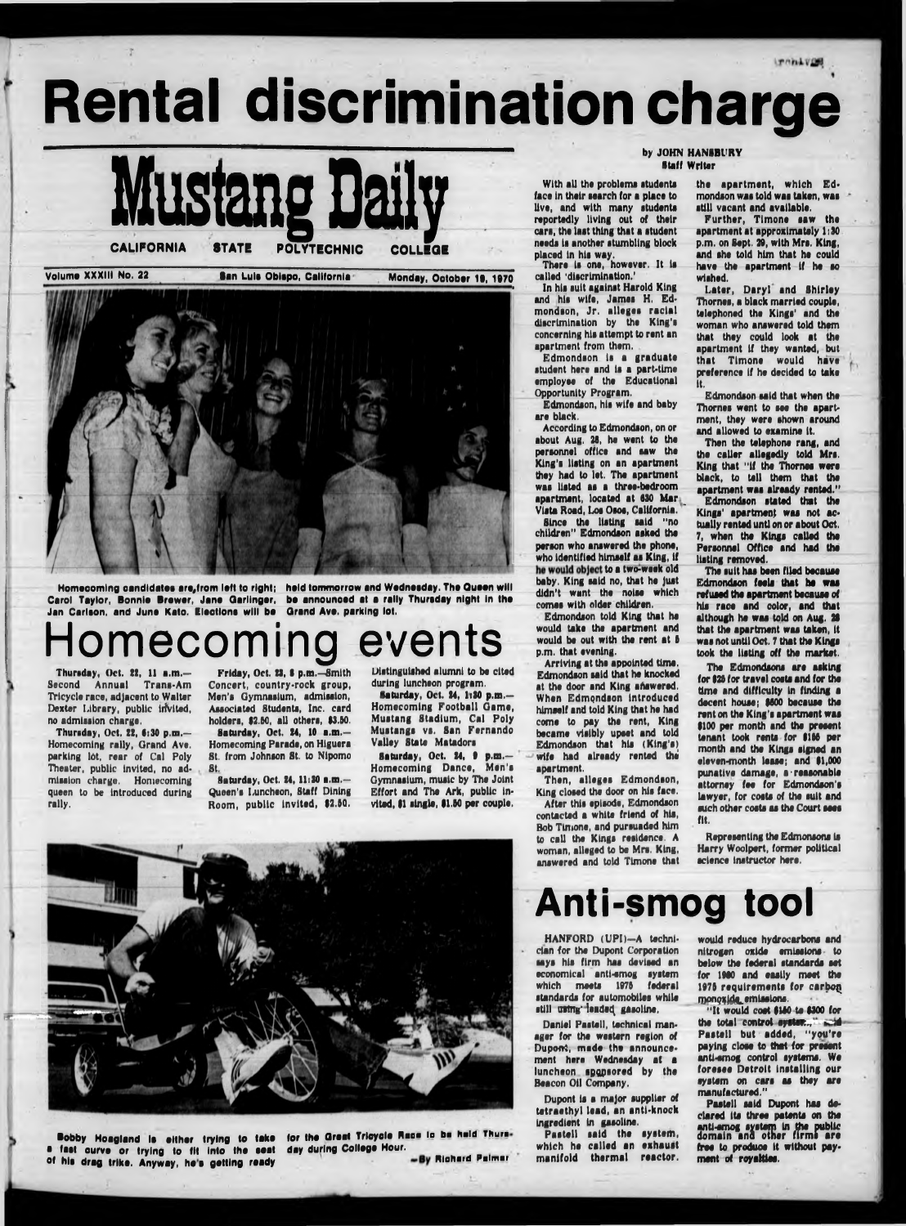# **Rental discrimination charge**

**Anti-sm og tool**

dan for tha Dupont Corporation says his firm has devised an economical entl-smog ayatam which meets 1976 federal atandarda for automobllaa whila still ustng' leaded gasoline,





Danial Paatall, tachnlcal manager for the western region of Dupont, made the announcemant here Wedneaday at a luncheon sponsored by the Beacon Oil Company.

**Bobby Hoagland is either trying to take for the Great Tricycle Race is be held Thurs-**<br>Tast gurve or trying to fit into the seat day-during College Hour. **a fast ourve or trying to fit into the seat** of his drag trike. Anyway, he's getting ready **and the state of the state of the drag trike.** Anyway, he's getting ready

Dupont is a major supplier of tetraethyl lead, an anti-knock Ingredient In gaaollna. Paatall aald tha ayatam, which ha called an exhaust manifold thermal reactor. nitrogen oxide emissions to below tha fadaral atandarda eat for I960 and eaaily meat tha 1976 requirements for carbon monoxide\_emissions.

" It would coot 6160 to 6300 for the total control ayatan., iii Pastell but added, "you're paying cloaa to that for praaant antl-amog control ayatama. Wa foresee Detroit installing our ayatam on cara aa they are manufactured."

Paatall aald Dupont haa declared Ite throe patente on tha antl-amog ayatam In the public domain and other firms are free to produce It without payment of royaltiee.

Saturday, Oct. 24, 6 p.m.— Homecoming Dance, Man's Gymnasium, music by Tha Joint Effort and Tha Ark, public invited, \$1 single, \$1.50 per couple.

#### by JOHN HANSBl'RY Staff Writer





**Homecoming candidates are,from loft to right; held tommorrow and Wednesday. Tho Ouoan will Carol Taylor, Bonnlo Browor, Jana Qarllngor, be announced at a rally Thursday night In tha Jan Carlson, and June Kato. Elections will be Grand Ava. parking lot.**

# omecoming events

Thursday, Oct. 22, 11 a.m.— Second Annual Trans-Am Tricycle race, adjacent to Walter Dexter Library, public invited, no admission charge,

Thursday, Oct. 22, 6i30 p.m.— Homecoming rally, Grand Ave. parking lot, rear of Cal Poly Theater, public invited, no admission charge. Homecoming queen to be Introduced during rally.

Friday, Oct. 23, 6 p.m.—Smith Concert, country-rock group, Men's Gymnasium, admission, Associated Students, Inc. card holders, 62.50, all others, 63.60.

the apartment, which Edmondson was told was taken, was still vacant and available.

Saturday, Oct. 24, 10 a.m.— Homecoming Parada, on Hlguera St. from Johnson St. to Nipomo St.

Saturday, Oct. 24, 11:30 a.m.— Queen's Luncheon, Staff Dining Room, public invited, 62.60. Distinguished alumni to be cited during luncheon program.

laturday, Oct. 14, 1:10 p.m.— Homecoming Football Gama, Mustang Stadium, Cal Poly Mustangs vs. San Fernando Valley State Matadors

Tho Edmondsons are asking for 626 for travel coots and for the time and difficulty in finding a decent house; 6600 because the rent on the King's apartment was 6100 per month end the present tenant took rents for 6166 per month and the Kings signed an eleven-month lease; and 61,000 punatlve damage, a-reasonable attorney fee for Edmondson's lawyer, for costs of the suit and such other costs as the Court sees fit.

With all tha problems students face In their search for a place to live, and with many students reportedly living out of their cars, tha last thing that a student needs Is another stumbling block placed in his way.

Thera Is one, however. It Is called 'discrimination.'

In his suit against Harold King and his wife, Jamas H, Edmondson, Jr. alleges racial discrimination by the King's concerning his attempt to rent an apartment from them.

Edmondson Is a graduate student here and is a part-time employee of the Educational Opportunity Program.

Edmondson, his wife and baby are black.

According to Edmondson, on or about Aug. 26, he went to the personnel office and saw the King's listing on an apartment they had to lot. The apartment was listed as a throe-bedroom apartment, located at 630 Mar Vista Road, Los Osos, California. '

Since the listing said "no children" Edmondson asked the person who answered the phone, who Identified himself as King, If he would object to a two-week old baby. King said no, that ho Just didn't want the noise which comes with older children.

Edmondson told King that he would take the apartment and would be out with the rent at 6 p.m. that evening.

Arriving at tho appointed time. Edmondson said that he knocked at the door and King afiswered. When Edmondson Introduced himself and told King that he had come to pay tho rent, King became visibly upset and told Edmondson that his (King's) wife had already rented the apartment.

Then, alleges Edmondson, King closed the door on his face.

After this episode, Edmondson contacted a white friend of his, Bob Timono, and pursuaded him to call the Kings residence. A woman, alleged to be Mrs. King, answered and told Tlmone that

Further, Tlmone saw the apartment at approximately 1:30 p.m. on Sept. 29, with Mrs. King, and she told him that he could have the apartment If he ao wished.

Later, Daryl and Shirley Thornes, a black married couple, telephoned the Kings' and the woman who answered told them that they could look at tho apartment If they wanted, but that Tlmone would have preference if he decided to take It.

Edmondson said that when the Thornes went to see tho apartment, they were shown around and allowed to examine It.

Then the telephone rang, and tho caller allegedly told Mrs, King that "If the Thornes were black, to tell them that tho apartment was already rented." Edmondson stated that the Kings' apartment was not actually rented untl on or about Oct. 7, when the Kings called the Personnel Office and had the listing removed.

The suit has been filed because Edmondson feels that ha was refused the apartment because of his race and color, and that although he was told on Aug. 28 that the apartment was taken, It was not until Oct. 7 that the Kings took the listing off the market,

Representing the Edmonsons Is Harry Woolpert, former political science instructor here.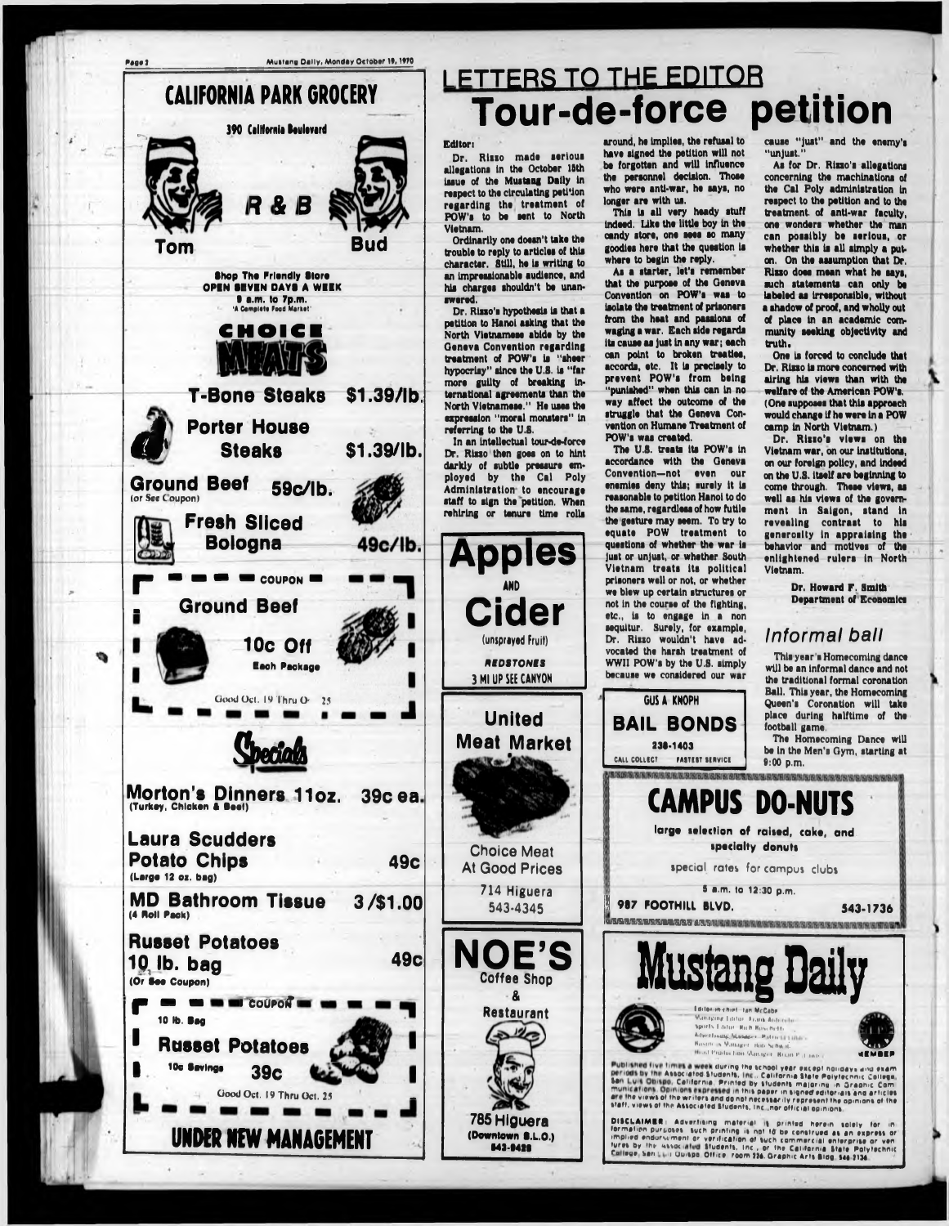

## **LETTERS TO THE EDITOR Tour-de-force petition**

Dr. Rizzo made serious allegations in the October 15th Issue of the Mustang Dally In respect to the circulating petition regarding the treatment of POW's to be sent to North Vietnam.

Dr. Rizzo's hypothesis is that a petition to Hanoi asking that the North Vietnamese abide by the Geneva Convention regarding treatment of POW's Is "sheer hypocrisy" since the U.S. Is "far more guilty of breaking International agreements than the North Vietnamese." He uses the expression "moral monsters" In referring to the U.S.

#### Editor)

Ordinarily one doesn't take the trouble to reply to articles of this character. Still, he is writing to an Impressionable audience, and his charges shouldn't be unanswered.

As a starter, let's remember that the purpose of the Oeneve Convention on POW's was to iaolata the treatment of prtaoneri from the heat and passions of waging a war. Each side regards its causa as Just In any war; each can point to broken treaties, accords, etc. It Is precisely to prevent POW's from being "punished" when this can in no way affect the outcome of the struggle that the Geneva Convention on Humane Treatment of POW's was created.

In an Intellectual tour-de-force Dr. Rizzo then goes on to hint darkly of subtle pressure employed by the Cal Poly Administration to encourage staff to sign the petition. When rehiring or tenure time rolls

**Apples**

**AND**

**Cider**

(unsprayed Fruit)

**BEDSTONES** 3 Ml UP SEE CANYON

**United**

**Meat Market**

**Choice Meat At Good Prices**

> 714 Higuera 543-4345



As for Dr. Rizzo's allegations concerning the machinations of the Cal Poly administration In respect to the petition and to the treatment, of anti-war faculty, one wonders whether the man can poaaibly be serious, or whether this is all simply a puton, On the assumption that Dr. Rizzo does mean what he says. such statements can only be labeled as Irresponsible, without a ahadow of proof, and wholly out of place In an academic community seeking objectivity and truth.

One la forced to conclude that Dr. Rizzo is more concerned with airing his views than with the welfare of the American POW's. (One supposes that this approach would change If he were In a POW camp in North Vietnam.)



This Is all very heady atuff Indeed. Like the little boy In the candy store, one sees so many goodies here that the question Is where to begin the reply.

> Dr. Rizzo's views on the Vietnam war, on our Institutions, on our foreign policy, and Indeed on the U.S. itself are beginning to come through. These views, as well aa his views of the government In Saigon, stand In revealing contrast to hls generosity In appraising tha behavior and motives of the enlightened rulera In North Vietnam.

> The Homecoming Dance will be in the Men's Gym, starting at

The U.S. treats Its POW's In accordance with the Geneva Convention—not even our enemlea deny this; surely It Is reasonable to petition Hanoi to do the same, regardleea of how futile the geature may seem. To try to equate POW treatment to questions of whether the war is Just or unjust, or whether South Vietnam treats its political prisoners well or not, or whether we blew up certain structures or not in the course of the fighting, etc., la to engage In a non sequltur. Surely, for example, Dr. Rlsso wouldn't have advocated the harah treatment of WWII POW's by the U.S. simply because we considered our war

GUS **A KNOPH**

**BAIL BONDS**

**231-1403**

cause "Just" and the enemy's "unjust."



Dr. Howard F. Smith Department of Economics

### *Informal ball*

Thia year 's Homecoming dance will be an Informal dance and not the traditional formal coronation Ball. This year, the Homecoming Queen's Coronation will take place during halftime of the football game.

*I* **987 FOOTHILL BLVD.** asa/a/iflUB/Bfamfluuaian uanrt **543-1736**





Published five times a week during the school year except nondays and examperiods by the Associated Students, Inc., California State Polytechnic College.<br>San Luis Obispo, California, Printed by students majoring in Graphic Com i f c c california. Printed by students majoring in Graphic Com are the views of the writers and do not necessarily represent the opinions of the<br>first the views of the writers and do not necessarily represent the opinions of the staff, views of the Associated Students, Inc.,nor official opinions

DISCLAIMER: Advertising material is printed herein solely for in rermation purposes. Such printing is not to be construed as an express or<br>implied endurstment or verification of such commercial enterprise or ven The state was stated students, Inc., or the California State Polytechnic Callege, San Linis Quispo, Office, room 226, Graphic Arts Bldg, 546-2136.

 $+$   $\rightarrow$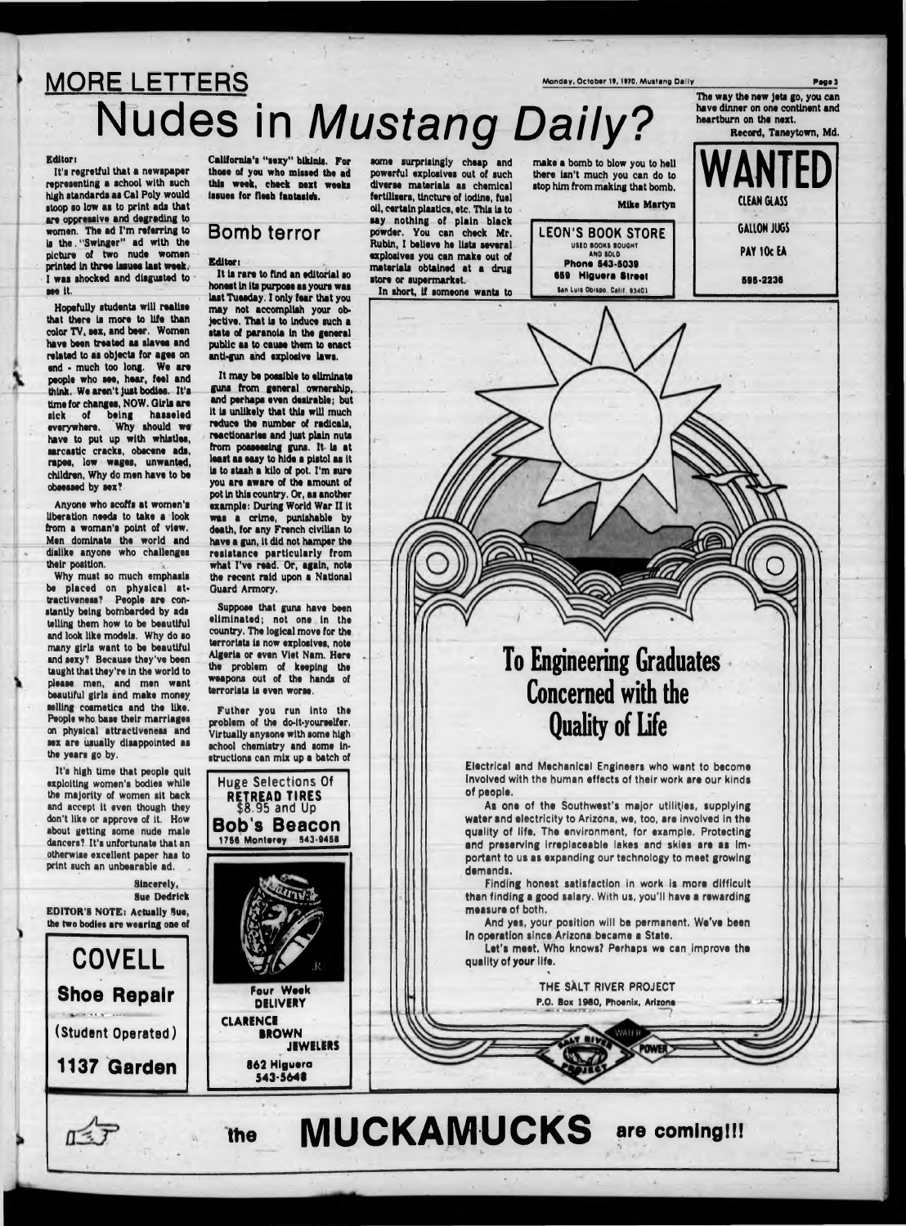# MORE LETTERS Mustang Dally Nudes in *Mustang Daily?*

#### Editor:

 $\;$ 

The way the new jeta go, you can

Page 3

It's regretful that a newspaper representing a school with such high standards as Cal Poly would stoop so low as to print ads that are oppressive and degrading to women. The ad I'm referring to is the . "Swinger" ad with the picture of two nude women printed in three laaues last week, I was shocked and disgusted to see it.

Hopefully students will realise that there la more to life than color TV, sex, and beer. Women have been treated as slaves and related to as objects for ages on end • much too long. We are people who see, hear, feel and think. We aren't just bodies. It's time for changes, NOW. Girls are sick of being hasaeled everywhere. Why should we have to put up with whistles, sarcastic cracks, obscene ads, rapes, low wages, unwanted, children, Why do men have to be obsessed by sex?

Anyone who scoffs at women's liberation needs to take a look from a woman's point of view. Men dominate the world and dislike anyone who challenges their position.

Why must so much emphasis be placed on physical attractiveness? People are constantly being botnbarded by ads telling them how to be beautiful and look like models. Why do so many girls want to be beautiful and sexy? Because they've been taught that they're in the world to please men, and men want beautiful girls and make money selling cosmetics and the like. People who base their marriages on physical attractiveness and sex are usually disappointed as the years go by.

It's high time that people quit exploiting women's bodies while the majority of women sit back and accept it even though they don't like or approve of it. How about getting some nude male dancers? It's unfortunate that an otherwise excellent paper has to print such an unbearable ad. .

Sincerely, Sue Dedrick EDITOR'S NOTE: Actually Sue, the two bodies are wearing one of LEON'S BOOK STORE USED BOOKS BOUGHT AND SOLD **Phone 843-5039 659 Hlguera Street** San Luis Obispo. Calif. 93401

California's "sexy" bikinis. For those of you who missed the ad this week, check next weeks issues for flesh fantasldh.



### **Bomb terror**

#### Editor:

It is rare to find an editorial so honest in Its purpose as yours was last Tuesday. I only fear that you may not accomplish your objective. That is to Induce such a state of paranoia in the general public as to cause them to enact anti-gun and explosive laws.

It may be possible to eliminate guns from general ownership, and perhaps even desirable; but it is unlikely that this will much reduce the number of radicals, reactionaries and Just plain nuts from possessing guns. It Is at least as easy to hide a pistol as it la to stash a kilo of pot. I'm sure you are aware of the amount of pot In this country. Or, as another example: During World War II It was a crime, punishable by death, for any French civilian to have a gun, it did not hamper the resistance particularly from what I've read. Or, again, note the recent raid upon a National Guard Armory.

Suppose that guns have been eliminated; not one in the country. The logical move for the terrorists is now explosives, note Algeria or even Viet Nam. Here the problem of keeping the weapons out of the hands of terrorists is oven worse.

Futher you run into the problem of the do-it-yourselfer. Virtually anysone with some high school chemistry and some instructions can mix up a batch of





some surprisingly cheap and powerful explosives out of such diverse materials as chemical fertilisers, tincture of iodine, fuel oil, certain plastics, etc. This is to say nothing of plain black powder. You can check Mr. Rubin, I believe he lists several explosives you can make out of materials obtained at a drug store or supermarket. In short, if someone wants to make a bomb to blow you to hell there isn't much you can do to stop him from making that bomb.

#### Mike Martyn

**o**

To Engineering Graduates Concerned with the Quality of Life

Electrical and Mechanical Engineers who want to become Involved with the human effects of their work are our kinds of people.

As one of the Southwest's major utilities, supplying water and electricity to Arizona, we, too, are involved in the quality of life. The environment, for example. Protecting and preserving irreplaceable lakes and skies are as Important to us as expanding our technology to meet growing demands.

Finding honest satisfaction in work is more difficult than finding a good salary. With us, you'll have a rewarding measure of both.

And yes, your position will be permanent. We've been in operation since Arizona became a State.